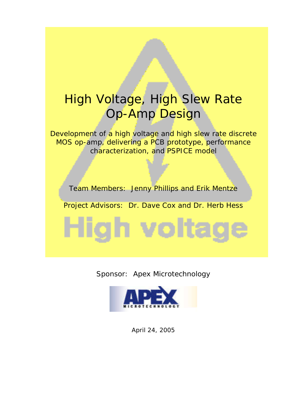# High Voltage, High Slew Rate Op-Amp Design

Development of a high voltage and high slew rate discrete MOS op-amp, delivering a PCB prototype, performance characterization, and PSPICE model

Team Members: Jenny Phillips and Erik Mentze

Project Advisors: Dr. Dave Cox and Dr. Herb Hess

High voltag





April 24, 2005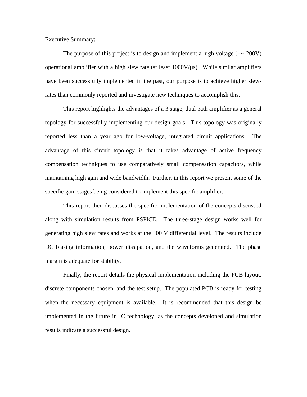Executive Summary:

The purpose of this project is to design and implement a high voltage  $(+/- 200V)$ operational amplifier with a high slew rate (at least  $1000V/\mu s$ ). While similar amplifiers have been successfully implemented in the past, our purpose is to achieve higher slewrates than commonly reported and investigate new techniques to accomplish this.

This report highlights the advantages of a 3 stage, dual path amplifier as a general topology for successfully implementing our design goals. This topology was originally reported less than a year ago for low-voltage, integrated circuit applications. The advantage of this circuit topology is that it takes advantage of active frequency compensation techniques to use comparatively small compensation capacitors, while maintaining high gain and wide bandwidth. Further, in this report we present some of the specific gain stages being considered to implement this specific amplifier.

This report then discusses the specific implementation of the concepts discussed along with simulation results from PSPICE. The three-stage design works well for generating high slew rates and works at the 400 V differential level. The results include DC biasing information, power dissipation, and the waveforms generated. The phase margin is adequate for stability.

Finally, the report details the physical implementation including the PCB layout, discrete components chosen, and the test setup. The populated PCB is ready for testing when the necessary equipment is available. It is recommended that this design be implemented in the future in IC technology, as the concepts developed and simulation results indicate a successful design.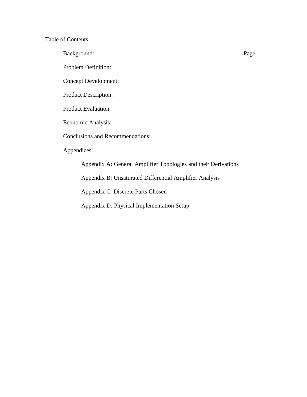Table of Contents:

Background: Page

Problem Definition:

Concept Development:

Product Description:

Product Evaluation:

Economic Analysis:

Conclusions and Recommendations:

Appendices:

Appendix A: General Amplifier Topologies and their Derivations

Appendix B: Unsaturated Differential Amplifier Analysis

Appendix C: Discrete Parts Chosen

Appendix D: Physical Implementation Setup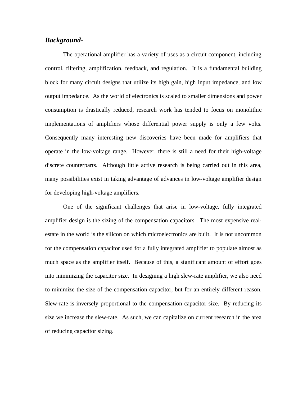# *Background-*

The operational amplifier has a variety of uses as a circuit component, including control, filtering, amplification, feedback, and regulation. It is a fundamental building block for many circuit designs that utilize its high gain, high input impedance, and low output impedance. As the world of electronics is scaled to smaller dimensions and power consumption is drastically reduced, research work has tended to focus on monolithic implementations of amplifiers whose differential power supply is only a few volts. Consequently many interesting new discoveries have been made for amplifiers that operate in the low-voltage range. However, there is still a need for their high-voltage discrete counterparts. Although little active research is being carried out in this area, many possibilities exist in taking advantage of advances in low-voltage amplifier design for developing high-voltage amplifiers.

One of the significant challenges that arise in low-voltage, fully integrated amplifier design is the sizing of the compensation capacitors. The most expensive realestate in the world is the silicon on which microelectronics are built. It is not uncommon for the compensation capacitor used for a fully integrated amplifier to populate almost as much space as the amplifier itself. Because of this, a significant amount of effort goes into minimizing the capacitor size. In designing a high slew-rate amplifier, we also need to minimize the size of the compensation capacitor, but for an entirely different reason. Slew-rate is inversely proportional to the compensation capacitor size. By reducing its size we increase the slew-rate. As such, we can capitalize on current research in the area of reducing capacitor sizing.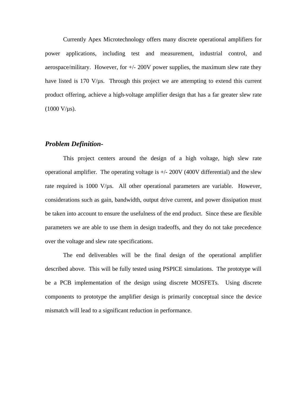Currently Apex Microtechnology offers many discrete operational amplifiers for power applications, including test and measurement, industrial control, and aerospace/military. However, for  $+\prime$ -200V power supplies, the maximum slew rate they have listed is 170  $V/\mu$ s. Through this project we are attempting to extend this current product offering, achieve a high-voltage amplifier design that has a far greater slew rate  $(1000 V/\mu s)$ .

#### *Problem Definition-*

This project centers around the design of a high voltage, high slew rate operational amplifier. The operating voltage is  $+/- 200V$  (400V differential) and the slew rate required is 1000 V/µs. All other operational parameters are variable. However, considerations such as gain, bandwidth, output drive current, and power dissipation must be taken into account to ensure the usefulness of the end product. Since these are flexible parameters we are able to use them in design tradeoffs, and they do not take precedence over the voltage and slew rate specifications.

The end deliverables will be the final design of the operational amplifier described above. This will be fully tested using PSPICE simulations. The prototype will be a PCB implementation of the design using discrete MOSFETs. Using discrete components to prototype the amplifier design is primarily conceptual since the device mismatch will lead to a significant reduction in performance.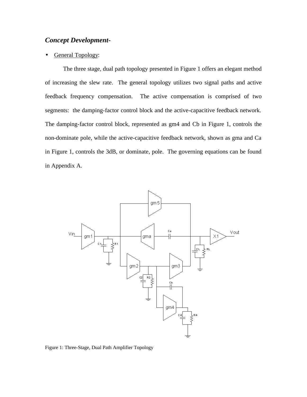# *Concept Development-*

#### General Topology:

The three stage, dual path topology presented in Figure 1 offers an elegant method of increasing the slew rate. The general topology utilizes two signal paths and active feedback frequency compensation. The active compensation is comprised of two segments: the damping-factor control block and the active-capacitive feedback network. The damping-factor control block, represented as gm4 and Cb in Figure 1, controls the non-dominate pole, while the active-capacitive feedback network, shown as gma and Ca in Figure 1, controls the 3dB, or dominate, pole. The governing equations can be found in Appendix A.



Figure 1: Three-Stage, Dual Path Amplifier Topology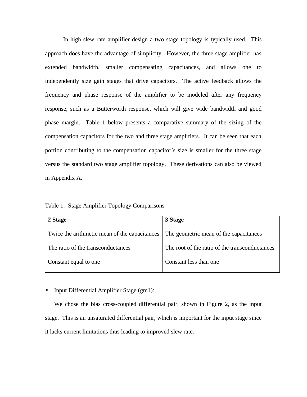In high slew rate amplifier design a two stage topology is typically used. This approach does have the advantage of simplicity. However, the three stage amplifier has extended bandwidth, smaller compensating capacitances, and allows one to independently size gain stages that drive capacitors. The active feedback allows the frequency and phase response of the amplifier to be modeled after any frequency response, such as a Butterworth response, which will give wide bandwidth and good phase margin. Table 1 below presents a comparative summary of the sizing of the compensation capacitors for the two and three stage amplifiers. It can be seen that each portion contributing to the compensation capacitor's size is smaller for the three stage versus the standard two stage amplifier topology. These derivations can also be viewed in Appendix A.

Table 1: Stage Amplifier Topology Comparisons

| 2 Stage                                       | 3 Stage                                        |
|-----------------------------------------------|------------------------------------------------|
| Twice the arithmetic mean of the capacitances | The geometric mean of the capacitances         |
| The ratio of the transconductances            | The root of the ratio of the transconductances |
| Constant equal to one                         | Constant less than one                         |

#### • Input Differential Amplifier Stage (gm1):

We chose the bias cross-coupled differential pair, shown in Figure 2, as the input stage. This is an unsaturated differential pair, which is important for the input stage since it lacks current limitations thus leading to improved slew rate.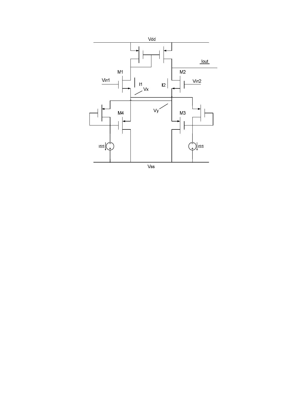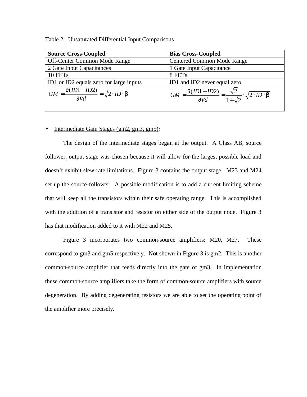| <b>Source Cross-Coupled</b>                                                 | <b>Bias Cross-Coupled</b>                                                                                            |  |
|-----------------------------------------------------------------------------|----------------------------------------------------------------------------------------------------------------------|--|
| Off-Center Common Mode Range                                                | <b>Centered Common Mode Range</b>                                                                                    |  |
| 2 Gate Input Capacitances                                                   | 1 Gate Input Capacitance                                                                                             |  |
| 10 FETs                                                                     | 8 FETs                                                                                                               |  |
| ID1 or ID2 equals zero for large inputs                                     | ID1 and ID2 never equal zero                                                                                         |  |
| $GM = \frac{\partial (ID1 - ID2)}{\partial Vd} = \sqrt{2 \cdot ID \cdot b}$ | $\frac{\partial (ID1 - ID2)}{\partial Vd} = \frac{\sqrt{2}}{1 + \sqrt{2}} \cdot \sqrt{2 \cdot ID \cdot b}$<br>$GM =$ |  |

Table 2: Unsaturated Differential Input Comparisons

#### • Intermediate Gain Stages (gm2, gm3, gm5):

The design of the intermediate stages began at the output. A Class AB, source follower, output stage was chosen because it will allow for the largest possible load and doesn't exhibit slew-rate limitations. Figure 3 contains the output stage. M23 and M24 set up the source-follower. A possible modification is to add a current limiting scheme that will keep all the transistors within their safe operating range. This is accomplished with the addition of a transistor and resistor on either side of the output node. Figure 3 has that modification added to it with M22 and M25.

Figure 3 incorporates two common-source amplifiers: M20, M27. These correspond to gm3 and gm5 respectively. Not shown in Figure 3 is gm2. This is another common-source amplifier that feeds directly into the gate of gm3. In implementation these common-source amplifiers take the form of common-source amplifiers with source degeneration. By adding degenerating resistors we are able to set the operating point of the amplifier more precisely.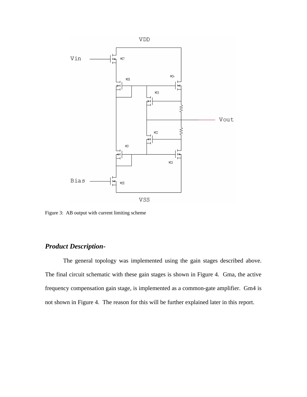

Figure 3: AB output with current limiting scheme

# *Product Description-*

The general topology was implemented using the gain stages described above. The final circuit schematic with these gain stages is shown in Figure 4. Gma, the active frequency compensation gain stage, is implemented as a common-gate amplifier. Gm4 is not shown in Figure 4. The reason for this will be further explained later in this report.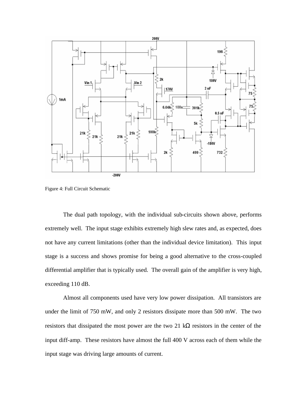

Figure 4: Full Circuit Schematic

The dual path topology, with the individual sub-circuits shown above, performs extremely well. The input stage exhibits extremely high slew rates and, as expected, does not have any current limitations (other than the individual device limitation). This input stage is a success and shows promise for being a good alternative to the cross-coupled differential amplifier that is typically used. The overall gain of the amplifier is very high, exceeding 110 dB.

Almost all components used have very low power dissipation. All transistors are under the limit of 750 mW, and only 2 resistors dissipate more than 500 mW. The two resistors that dissipated the most power are the two 21 kΩ resistors in the center of the input diff-amp. These resistors have almost the full 400 V across each of them while the input stage was driving large amounts of current.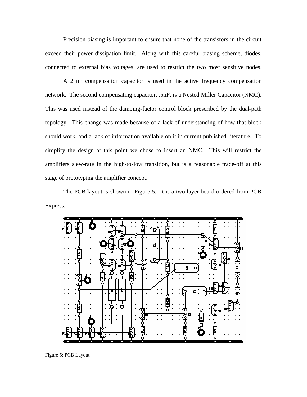Precision biasing is important to ensure that none of the transistors in the circuit exceed their power dissipation limit. Along with this careful biasing scheme, diodes, connected to external bias voltages, are used to restrict the two most sensitive nodes.

A 2 nF compensation capacitor is used in the active frequency compensation network. The second compensating capacitor, .5nF, is a Nested Miller Capacitor (NMC). This was used instead of the damping-factor control block prescribed by the dual-path topology. This change was made because of a lack of understanding of how that block should work, and a lack of information available on it in current published literature. To simplify the design at this point we chose to insert an NMC. This will restrict the amplifiers slew-rate in the high-to-low transition, but is a reasonable trade-off at this stage of prototyping the amplifier concept.

The PCB layout is shown in Figure 5. It is a two layer board ordered from PCB Express.



Figure 5: PCB Layout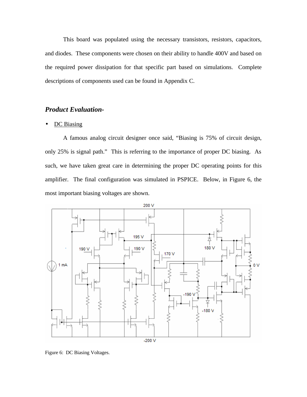This board was populated using the necessary transistors, resistors, capacitors, and diodes. These components were chosen on their ability to handle 400V and based on the required power dissipation for that specific part based on simulations. Complete descriptions of components used can be found in Appendix C.

# *Product Evaluation-*

#### • DC Biasing

A famous analog circuit designer once said, "Biasing is 75% of circuit design, only 25% is signal path." This is referring to the importance of proper DC biasing. As such, we have taken great care in determining the proper DC operating points for this amplifier. The final configuration was simulated in PSPICE. Below, in Figure 6, the most important biasing voltages are shown.



Figure 6: DC Biasing Voltages.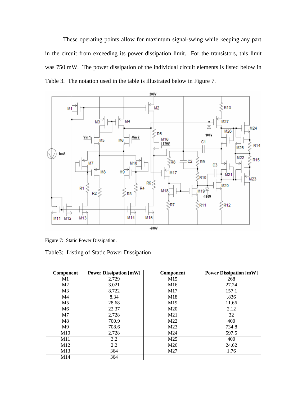These operating points allow for maximum signal-swing while keeping any part in the circuit from exceeding its power dissipation limit. For the transistors, this limit was 750 mW. The power dissipation of the individual circuit elements is listed below in Table 3. The notation used in the table is illustrated below in Figure 7.



Figure 7: Static Power Dissipation.

Table3: Listing of Static Power Dissipation

| <b>Component</b> | <b>Power Dissipation [mW]</b> | Component       | <b>Power Dissipation [mW]</b> |
|------------------|-------------------------------|-----------------|-------------------------------|
| M1               | 2.729                         | M15             | 268                           |
| M <sub>2</sub>   | 3.021                         | M <sub>16</sub> | 27.24                         |
| M <sub>3</sub>   | 8.722                         | M17             | 157.1                         |
| M4               | 8.34                          | M18             | .836                          |
| M5               | 28.68                         | M19             | 11.66                         |
| M6               | 22.37                         | M20             | 2.12                          |
| M7               | 2.728                         | M21             | 32                            |
| M8               | 700.9                         | M22             | 400                           |
| M9               | 708.6                         | M23             | 734.8                         |
| M10              | 2.728                         | M24             | 597.5                         |
| M11              | 3.2                           | M25             | 400                           |
| M12              | 2.2                           | M26             | 24.62                         |
| M13              | 364                           | M27             | 1.76                          |
| M14              | 364                           |                 |                               |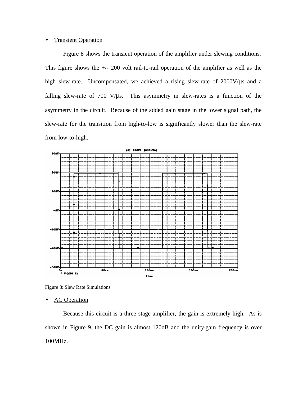#### • Transient Operation

Figure 8 shows the transient operation of the amplifier under slewing conditions. This figure shows the  $+/- 200$  volt rail-to-rail operation of the amplifier as well as the high slew-rate. Uncompensated, we achieved a rising slew-rate of 2000V/ $\mu$ s and a falling slew-rate of  $700 \text{ V}/\mu\text{s}$ . This asymmetry in slew-rates is a function of the asymmetry in the circuit. Because of the added gain stage in the lower signal path, the slew-rate for the transition from high-to-low is significantly slower than the slew-rate from low-to-high.



Figure 8: Slew Rate Simulations

**AC** Operation

Because this circuit is a three stage amplifier, the gain is extremely high. As is shown in Figure 9, the DC gain is almost 120dB and the unity-gain frequency is over 100MHz.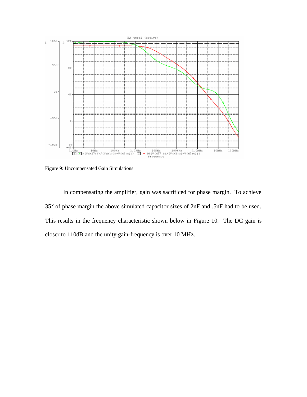

Figure 9: Uncompensated Gain Simulations

In compensating the amplifier, gain was sacrificed for phase margin. To achieve 35° of phase margin the above simulated capacitor sizes of 2nF and .5nF had to be used. This results in the frequency characteristic shown below in Figure 10. The DC gain is closer to 110dB and the unity-gain-frequency is over 10 MHz.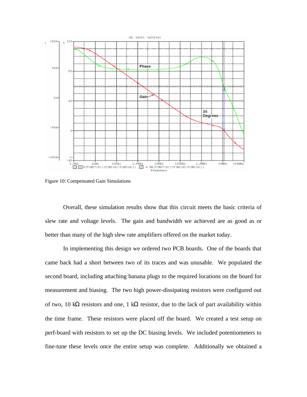

Figure 10: Compensated Gain Simulations

Overall, these simulation results show that this circuit meets the basic criteria of slew rate and voltage levels. The gain and bandwidth we achieved are as good as or better than many of the high slew rate amplifiers offered on the market today.

In implementing this design we ordered two PCB boards. One of the boards that came back had a short between two of its traces and was unusable. We populated the second board, including attaching banana plugs to the required locations on the board for measurement and biasing. The two high power-dissipating resistors were configured out of two, 10 kΩ resistors and one, 1 kΩ resistor, due to the lack of part availability within the time frame. These resistors were placed off the board. We created a test setup on perf-board with resistors to set up the DC biasing levels. We included potentiometers to fine-tune these levels once the entire setup was complete. Additionally we obtained a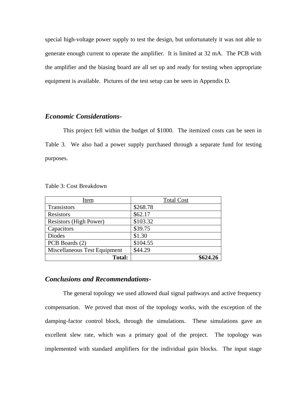special high-voltage power supply to test the design, but unfortunately it was not able to generate enough current to operate the amplifier. It is limited at 32 mA. The PCB with the amplifier and the biasing board are all set up and ready for testing when appropriate equipment is available. Pictures of the test setup can be seen in Appendix D.

# *Economic Considerations-*

This project fell within the budget of \$1000. The itemized costs can be seen in Table 3. We also had a power supply purchased through a separate fund for testing purposes.

| Item                          | <b>Total Cost</b> |
|-------------------------------|-------------------|
| Transistors                   | \$268.78          |
| Resistors                     | \$62.17           |
| <b>Resistors (High Power)</b> | \$103.32          |
| Capacitors                    | \$39.75           |
| <b>Diodes</b>                 | \$1.30            |
| PCB Boards (2)                | \$104.55          |
| Miscellaneous Test Equipment  | \$44.29           |
| <b>Total:</b>                 | \$624.26          |

Table 3: Cost Breakdown

# *Conclusions and Recommendations-*

The general topology we used allowed dual signal pathways and active frequency compensation. We proved that most of the topology works, with the exception of the damping-factor control block, through the simulations. These simulations gave an excellent slew rate, which was a primary goal of the project. The topology was implemented with standard amplifiers for the individual gain blocks. The input stage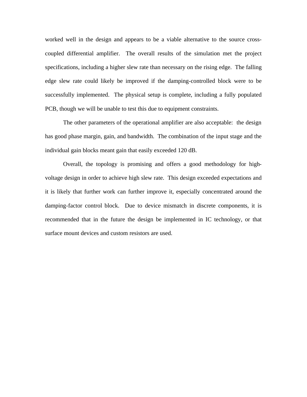worked well in the design and appears to be a viable alternative to the source crosscoupled differential amplifier. The overall results of the simulation met the project specifications, including a higher slew rate than necessary on the rising edge. The falling edge slew rate could likely be improved if the damping-controlled block were to be successfully implemented. The physical setup is complete, including a fully populated PCB, though we will be unable to test this due to equipment constraints.

The other parameters of the operational amplifier are also acceptable: the design has good phase margin, gain, and bandwidth. The combination of the input stage and the individual gain blocks meant gain that easily exceeded 120 dB.

Overall, the topology is promising and offers a good methodology for highvoltage design in order to achieve high slew rate. This design exceeded expectations and it is likely that further work can further improve it, especially concentrated around the damping-factor control block. Due to device mismatch in discrete components, it is recommended that in the future the design be implemented in IC technology, or that surface mount devices and custom resistors are used.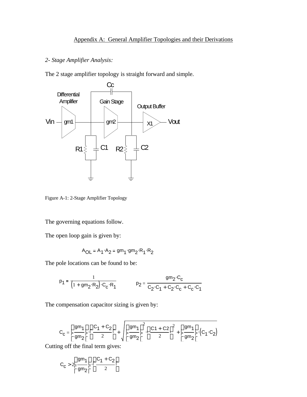# *2- Stage Amplifier Analysis:*

The 2 stage amplifier topology is straight forward and simple.



Figure A-1: 2-Stage Amplifier Topology

The governing equations follow.

The open loop gain is given by:

$$
A_{OL} = A_1 \cdot A_2 = gm_1 \cdot gm_2 \cdot R_1 \cdot R_2
$$

The pole locations can be found to be:

$$
p_1 = \frac{1}{(1 + gm_2 \cdot R_2) \cdot C_c \cdot R_1}
$$
 
$$
p_2 = \frac{gm_2 \cdot C_c}{C_2 \cdot C_1 + C_2 \cdot C_c + C_c \cdot C_1}
$$

The compensation capacitor sizing is given by:

$$
C_C = \left(\frac{gm_1}{gm_2}\right) \left(\frac{C_1 + C_2}{2}\right) + \sqrt{\left(\frac{gm_1}{gm_2}\right)^2 \left(\frac{C_1 + C_2}{2}\right)^2 + \left(\frac{gm_1}{gm_2}\right) (C_1 \cdot C_2)}
$$

Cutting off the final term gives:

$$
C_{\mathbf{C}} > 2 \left( \frac{gm_1}{gm_2} \right) \cdot \left( \frac{C_1 + C_2}{2} \right)
$$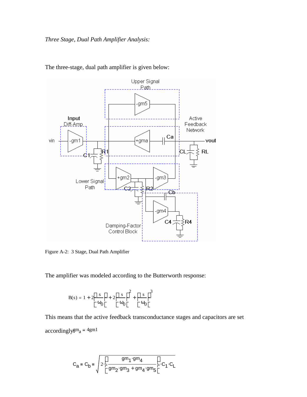

The three-stage, dual path amplifier is given below:

Figure A-2: 3 Stage, Dual Path Amplifier

The amplifier was modeled according to the Butterworth response:

$$
B(s) = 1 + 2\left(\frac{s}{\omega_0}\right) + 2\left(\frac{s}{\omega_0}\right)^2 + \left(\frac{s}{\omega_0}\right)^3
$$

This means that the active feedback transconductance stages and capacitors are set accordingly $gm_a = 4gm1$ 

$$
C_{a} = C_{b} = \sqrt{2 \cdot \left(\frac{gm_1 \cdot gm_4}{gm_2 \cdot gm_3 + gm_4 \cdot gm_5}\right) \cdot C_1 \cdot C_L}
$$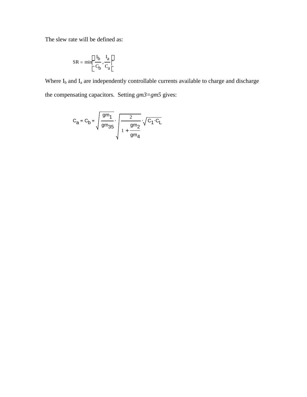The slew rate will be defined as:

$$
SR = \min\left(\frac{I_b}{C_b}, \frac{I_a}{C_a}\right)
$$

Where  $I_b$  and  $I_a$  are independently controllable currents available to charge and discharge the compensating capacitors. Setting *gm3=gm5* gives:

$$
C_{a} = C_{b} = \sqrt{\frac{gm_{1}}{gm_{35}}} \cdot \sqrt{\frac{2}{1 + \frac{gm_{2}}{gm_{4}}}} \cdot \sqrt{C_{1} \cdot C_{L}}
$$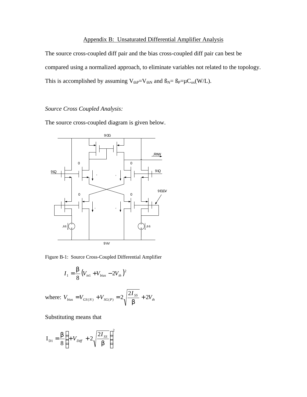#### Appendix B: Unsaturated Differential Amplifier Analysis

The source cross-coupled diff pair and the bias cross-coupled diff pair can best be compared using a normalized approach, to eliminate variables not related to the topology. This is accomplished by assuming  $V_{th}P=V_{thN}$  and  $B_N = B_P = \mu C_{ox}(W/L)$ .

#### *Source Cross Coupled Analysis:*

The source cross-coupled diagram is given below.



Figure B-1: Source Cross-Coupled Differential Amplifier

$$
I_1 = \frac{b}{8} (V_{in1} + V_{bias} - 2V_{th})^2
$$

where:  $V_{bias} = V_{GS(N)} + V_{SG(P)} = 2 \sqrt{\frac{\sum_{i=1}^{N} S_i}{k}} + 2 V_{th}$ *I*  $V_{bias} = V_{GS(N)} + V_{SG(P)} = 2 \sqrt{\frac{\sum_i SS_i}{I}} + 2$  $= V_{GS(N)} + V_{SG(P)} = 2 \sqrt{\frac{2I_{SS}}{b}} +$ 

Substituting means that

$$
\mathbf{I}_{\text{D1}} = \frac{\mathbf{b}}{8} \left( +V_{\text{Diff}} + 2\sqrt{\frac{2I_{SS}}{\mathbf{b}}} \right)^2
$$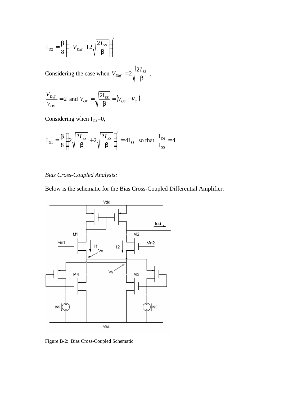$$
\mathbf{I}_{\text{D2}} = \frac{\boldsymbol{b}}{8} \Bigg( -V_{\text{Diff}} + 2\sqrt{\frac{2I_{SS}}{\boldsymbol{b}}} \Bigg)^2
$$

Considering the case when *b SS Diff I V*  $= 2 \sqrt{\frac{2I_{SS}}{I}},$ 

$$
\frac{V_{\text{Diff}}}{V_{\text{ov}}} = 2 \text{ and } V_{\text{ov}} = \sqrt{\frac{2I_{\text{SS}}}{\boldsymbol{b}}} = (V_{\text{GS}} - V_{\text{th}})
$$

Considering when  $I_{D2}=0$ ,

$$
\mathbf{I}_{\text{D1}} = \frac{\mathbf{b}}{8} \left( 2 \sqrt{\frac{2I_{SS}}{\mathbf{b}}} + 2 \sqrt{\frac{2I_{SS}}{\mathbf{b}}} \right)^2 = 4 \mathbf{I}_{\text{SS}} \quad \text{so that} \quad \frac{\mathbf{I}_{\text{D1}}}{\mathbf{I}_{\text{SS}}} = 4
$$

# *Bias Cross-Coupled Analysis:*

Below is the schematic for the Bias Cross-Coupled Differential Amplifier.



Figure B-2: Bias Cross-Coupled Schematic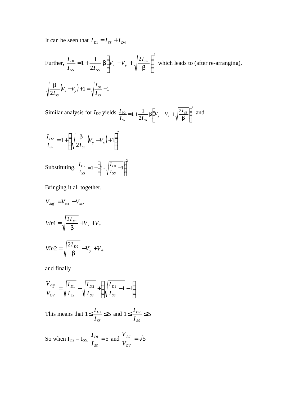It can be seen that  $I_{D1} = I_{SS} + I_{D4}$ 

Further, 
$$
\frac{I_{D1}}{I_{SS}} = 1 + \frac{1}{2I_{SS}} \mathbf{b} \left( V_x - V_y + \sqrt{\frac{2I_{SS}}{\mathbf{b}}} \right)^2
$$
 which leads to (after re-arranging),  
\n
$$
\sqrt{\frac{\mathbf{b}}{2I_{SS}}} (V_x - V_y) + 1 = \sqrt{\frac{I_{D1}}{I_{SS}}} - 1
$$

Similar analysis for  $I_{D2}$  yields  $\frac{I_{D2}}{I_{D2}} = 1 + \frac{1}{I_{D2}} \int_{V} V - V + \left( \frac{2I_{SS}}{I_{D2}} \right)^2$  $2 - 1$   $1 - \frac{1}{2}$   $\sqrt{V}$   $V$   $/2$ 2  $1 + \frac{1}{2I_{av}} b \left( V_y - V_x + \sqrt{\frac{2I_{ss}}{b}} \right)$  $\overline{1}$  $\lambda$  $\overline{\phantom{a}}$ l ſ  $\frac{b2}{s} = 1 + \frac{1}{2I_{ss}}$  **b**  $V_{y} - V_{x} + \sqrt{\frac{2I_{ss}}{b}}$  $\frac{I_{D2}}{I_{SS}} = 1 + \frac{1}{2I_{SS}} b \left( V_y - V_x + \sqrt{\frac{2I}{I_{S}}}\right)$  $I_{D2} = 1 + \frac{1}{2} h \left( V - V + \frac{2I_{SS}}{2} \right)$  and

$$
\frac{I_{D2}}{I_{SS}} = 1 + \left(\sqrt{\frac{b}{2I_{SS}}} (V_y - V_x) + 1\right)^2
$$
  
Substituting, 
$$
\frac{I_{D2}}{I_{SS}} = 1 + \left(2 - \sqrt{\frac{I_{D1}}{I_{SS}} - 1}\right)^2
$$

Bringing it all together,

$$
V_{diff} = V_{in1} - V_{in2}
$$
  

$$
Vin1 = \sqrt{\frac{2I_{D1}}{b}} + V_x + V_{th}
$$
  

$$
Vin2 = \sqrt{\frac{2I_{D2}}{b}} + V_y + V_{th}
$$

and finally

$$
\frac{V_{diff}}{V_{OV}} = \sqrt{\frac{I_{D1}}{I_{SS}}} - \sqrt{\frac{I_{D2}}{I_{SS}}} + \left(\sqrt{\frac{I_{D1}}{I_{SS}} - 1} - 1\right)
$$

This means that  $1 \leq \frac{I_{D1}}{I} \leq 5$ *SS D I*  $\frac{I_{D1}}{I_{D2}} \leq 5$  and  $1 \leq \frac{I_{D2}}{I_{D2}} \leq 5$ *SS D I I*

So when  $I_{D2} = I_{SS}$ ,  $\frac{I_{D1}}{I} = 5$ *SS D I*  $\frac{I_{D1}}{I}$  = 5 and  $\frac{V_{diff}}{I}$  =  $\sqrt{5}$ *OV diff V V*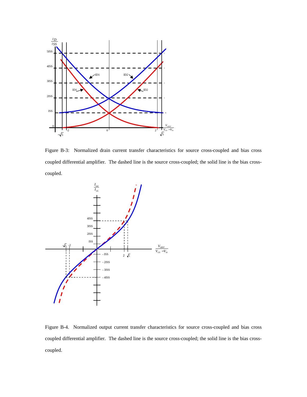

Figure B-3: Normalized drain current transfer characteristics for source cross-coupled and bias cross coupled differential amplifier. The dashed line is the source cross-coupled; the solid line is the bias crosscoupled.



Figure B-4. Normalized output current transfer characteristics for source cross-coupled and bias cross coupled differential amplifier. The dashed line is the source cross-coupled; the solid line is the bias crosscoupled.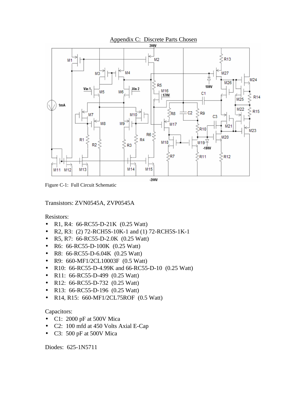

Figure C-1: Full Circuit Schematic

Transistors: ZVN0545A, ZVP0545A

Resistors:

- R1, R4: 66-RC55-D-21K (0.25 Watt)
- R2, R3: (2) 72-RCH5S-10K-1 and (1) 72-RCH5S-1K-1
- R5, R7: 66-RC55-D-2.0K (0.25 Watt)
- R6: 66-RC55-D-100K (0.25 Watt)
- R8: 66-RC55-D-6.04K (0.25 Watt)
- R9: 660-MF1/2CL10003F (0.5 Watt)
- R10: 66-RC55-D-4.99K and 66-RC55-D-10 (0.25 Watt)
- R11: 66-RC55-D-499 (0.25 Watt)
- R12: 66-RC55-D-732 (0.25 Watt)
- R13: 66-RC55-D-196 (0.25 Watt)
- R14, R15: 660-MF1/2CL75ROF (0.5 Watt)

## Capacitors:

- C1: 2000 pF at 500V Mica
- C2: 100 mfd at 450 Volts Axial E-Cap
- C3: 500 pF at 500V Mica

Diodes: 625-1N5711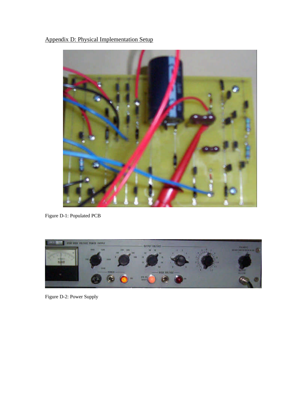Appendix D: Physical Implementation Setup



Figure D-1: Populated PCB



Figure D-2: Power Supply